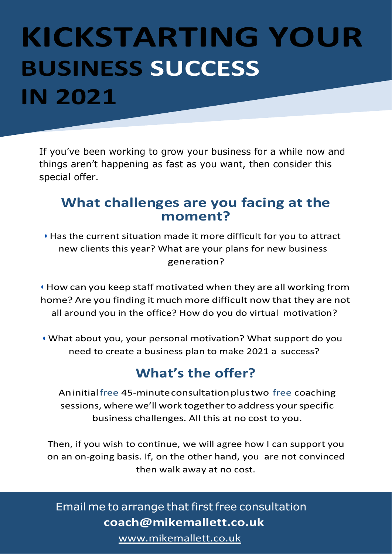# **KICKSTARTING YOUR BUSINESS SUCCESS IN 2021**

If you've been working to grow your business for a while now and things aren't happening as fast as you want, then consider this special offer.

### **What challenges are you facing at the moment?**

• Has the current situation made it more difficult for you to attract new clients this year? What are your plans for new business generation?

• How can you keep staff motivated when they are all working from home? Are you finding it much more difficult now that they are not all around you in the office? How do you do virtual motivation?

• What about you, your personal motivation? What support do you need to create a business plan to make 2021 a success?

## **What's the offer?**

Aninitialfree 45-minuteconsultationplustwo free coaching sessions, where we'll work together to address your specific business challenges. All this at no cost to you.

Then, if you wish to continue, we will agree how I can support you on an on-going basis. If, on the other hand, you are not convinced then walk away at no cost.

### Email me to arrange that first free consultation **[coach@mikemallett.co.uk](mailto:coach@mikemallett.co.uk)**

[www.mikemallett.co.uk](https://www.mikemallett.co.uk/)